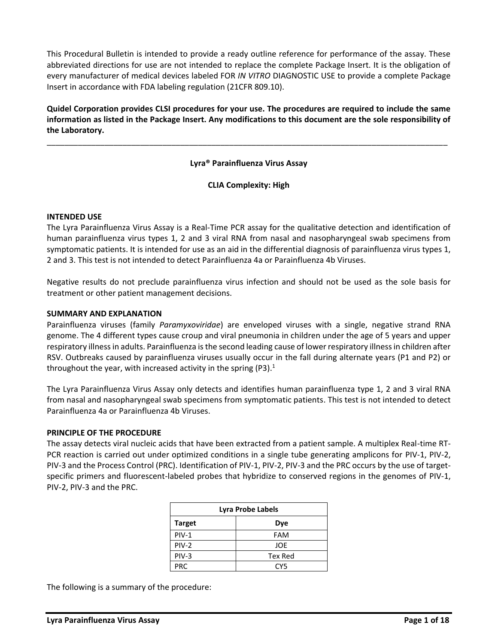This Procedural Bulletin is intended to provide a ready outline reference for performance of the assay. These abbreviated directions for use are not intended to replace the complete Package Insert. It is the obligation of every manufacturer of medical devices labeled FOR *IN VITRO* DIAGNOSTIC USE to provide a complete Package Insert in accordance with FDA labeling regulation (21CFR 809.10).

**Quidel Corporation provides CLSI procedures for your use. The procedures are required to include the same information as listed in the Package Insert. Any modifications to this document are the sole responsibility of the Laboratory.**

## **Lyra® Parainfluenza Virus Assay**

\_\_\_\_\_\_\_\_\_\_\_\_\_\_\_\_\_\_\_\_\_\_\_\_\_\_\_\_\_\_\_\_\_\_\_\_\_\_\_\_\_\_\_\_\_\_\_\_\_\_\_\_\_\_\_\_\_\_\_\_\_\_\_\_\_\_\_\_\_\_\_\_\_\_\_\_\_\_\_\_\_\_\_\_\_\_\_\_\_\_

### **CLIA Complexity: High**

#### **INTENDED USE**

The Lyra Parainfluenza Virus Assay is a Real‐Time PCR assay for the qualitative detection and identification of human parainfluenza virus types 1, 2 and 3 viral RNA from nasal and nasopharyngeal swab specimens from symptomatic patients. It is intended for use as an aid in the differential diagnosis of parainfluenza virus types 1, 2 and 3. This test is not intended to detect Parainfluenza 4a or Parainfluenza 4b Viruses.

Negative results do not preclude parainfluenza virus infection and should not be used as the sole basis for treatment or other patient management decisions.

### **SUMMARY AND EXPLANATION**

Parainfluenza viruses (family *Paramyxoviridae*) are enveloped viruses with a single, negative strand RNA genome. The 4 different types cause croup and viral pneumonia in children under the age of 5 years and upper respiratory illness in adults. Parainfluenza is the second leading cause of lower respiratory illness in children after RSV. Outbreaks caused by parainfluenza viruses usually occur in the fall during alternate years (P1 and P2) or throughout the year, with increased activity in the spring (P3).<sup>1</sup>

The Lyra Parainfluenza Virus Assay only detects and identifies human parainfluenza type 1, 2 and 3 viral RNA from nasal and nasopharyngeal swab specimens from symptomatic patients. This test is not intended to detect Parainfluenza 4a or Parainfluenza 4b Viruses.

#### **PRINCIPLE OF THE PROCEDURE**

The assay detects viral nucleic acids that have been extracted from a patient sample. A multiplex Real-time RT-PCR reaction is carried out under optimized conditions in a single tube generating amplicons for PIV-1, PIV-2, PIV-3 and the Process Control (PRC). Identification of PIV-1, PIV-2, PIV-3 and the PRC occurs by the use of targetspecific primers and fluorescent-labeled probes that hybridize to conserved regions in the genomes of PIV-1, PIV-2, PIV-3 and the PRC.

| Lyra Probe Labels    |            |  |  |
|----------------------|------------|--|--|
| <b>Target</b><br>Dye |            |  |  |
| $PIV-1$              | <b>FAM</b> |  |  |
| $PIV-2$              | JOE        |  |  |
| PIV-3                | Tex Red    |  |  |
| <b>PRC</b>           | CY5        |  |  |

The following is a summary of the procedure: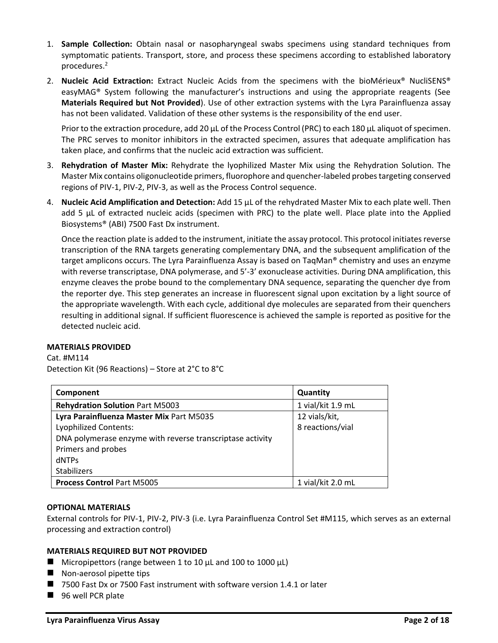- 1. **Sample Collection:** Obtain nasal or nasopharyngeal swabs specimens using standard techniques from symptomatic patients. Transport, store, and process these specimens according to established laboratory procedures.<sup>2</sup>
- 2. **Nucleic Acid Extraction:** Extract Nucleic Acids from the specimens with the bioMérieux® NucliSENS® easyMAG® System following the manufacturer's instructions and using the appropriate reagents (See **Materials Required but Not Provided**). Use of other extraction systems with the Lyra Parainfluenza assay has not been validated. Validation of these other systems is the responsibility of the end user.

Prior to the extraction procedure, add 20 µL of the Process Control (PRC) to each 180 µL aliquot of specimen. The PRC serves to monitor inhibitors in the extracted specimen, assures that adequate amplification has taken place, and confirms that the nucleic acid extraction was sufficient.

- 3. **Rehydration of Master Mix:** Rehydrate the lyophilized Master Mix using the Rehydration Solution. The Master Mix contains oligonucleotide primers, fluorophore and quencher-labeled probes targeting conserved regions of PIV-1, PIV-2, PIV-3, as well as the Process Control sequence.
- 4. **Nucleic Acid Amplification and Detection:** Add 15 µL of the rehydrated Master Mix to each plate well. Then add 5 µL of extracted nucleic acids (specimen with PRC) to the plate well. Place plate into the Applied Biosystems® (ABI) 7500 Fast Dx instrument.

Once the reaction plate is added to the instrument, initiate the assay protocol. This protocol initiates reverse transcription of the RNA targets generating complementary DNA, and the subsequent amplification of the target amplicons occurs. The Lyra Parainfluenza Assay is based on TaqMan® chemistry and uses an enzyme with reverse transcriptase, DNA polymerase, and 5'-3' exonuclease activities. During DNA amplification, this enzyme cleaves the probe bound to the complementary DNA sequence, separating the quencher dye from the reporter dye. This step generates an increase in fluorescent signal upon excitation by a light source of the appropriate wavelength. With each cycle, additional dye molecules are separated from their quenchers resulting in additional signal. If sufficient fluorescence is achieved the sample is reported as positive for the detected nucleic acid.

## **MATERIALS PROVIDED**

Cat. #M114 Detection Kit (96 Reactions) – Store at 2°C to 8°C

| Component                                                 | Quantity          |
|-----------------------------------------------------------|-------------------|
| <b>Rehydration Solution Part M5003</b>                    | 1 vial/kit 1.9 mL |
| Lyra Parainfluenza Master Mix Part M5035                  | 12 vials/kit,     |
| Lyophilized Contents:                                     | 8 reactions/vial  |
| DNA polymerase enzyme with reverse transcriptase activity |                   |
| Primers and probes                                        |                   |
| <b>dNTPs</b>                                              |                   |
| <b>Stabilizers</b>                                        |                   |
| <b>Process Control Part M5005</b>                         | 1 vial/kit 2.0 mL |

#### **OPTIONAL MATERIALS**

External controls for PIV-1, PIV-2, PIV-3 (i.e. Lyra Parainfluenza Control Set #M115, which serves as an external processing and extraction control)

## **MATERIALS REQUIRED BUT NOT PROVIDED**

- $\blacksquare$  Micropipettors (range between 1 to 10 μL and 100 to 1000 μL)
- $\blacksquare$  Non-aerosol pipette tips
- 7500 Fast Dx or 7500 Fast instrument with software version 1.4.1 or later
- 96 well PCR plate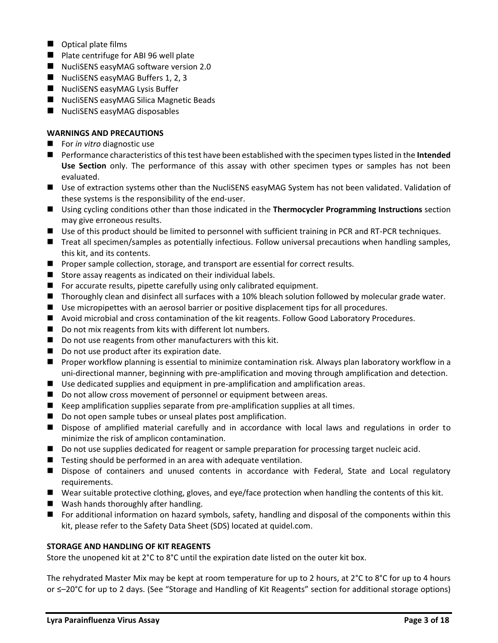- Optical plate films
- Plate centrifuge for ABI 96 well plate
- NucliSENS easyMAG software version 2.0
- NucliSENS easyMAG Buffers 1, 2, 3
- NucliSENS easyMAG Lysis Buffer
- NucliSENS easyMAG Silica Magnetic Beads
- NucliSENS easyMAG disposables

# **WARNINGS AND PRECAUTIONS**

- For *in vitro* diagnostic use
- Performance characteristics of this test have been established with the specimen types listed in the **Intended Use Section** only. The performance of this assay with other specimen types or samples has not been evaluated.
- Use of extraction systems other than the NucliSENS easyMAG System has not been validated. Validation of these systems is the responsibility of the end-user.
- Using cycling conditions other than those indicated in the **Thermocycler Programming Instructions** section may give erroneous results.
- Use of this product should be limited to personnel with sufficient training in PCR and RT-PCR techniques.
- Treat all specimen/samples as potentially infectious. Follow universal precautions when handling samples, this kit, and its contents.
- Proper sample collection, storage, and transport are essential for correct results.
- Store assay reagents as indicated on their individual labels.
- For accurate results, pipette carefully using only calibrated equipment.
- Thoroughly clean and disinfect all surfaces with a 10% bleach solution followed by molecular grade water.
- Use micropipettes with an aerosol barrier or positive displacement tips for all procedures.
- Avoid microbial and cross contamination of the kit reagents. Follow Good Laboratory Procedures.
- Do not mix reagents from kits with different lot numbers.
- Do not use reagents from other manufacturers with this kit.
- Do not use product after its expiration date.
- Proper workflow planning is essential to minimize contamination risk. Always plan laboratory workflow in a uni-directional manner, beginning with pre-amplification and moving through amplification and detection.
- Use dedicated supplies and equipment in pre-amplification and amplification areas.
- Do not allow cross movement of personnel or equipment between areas.
- Keep amplification supplies separate from pre-amplification supplies at all times.
- Do not open sample tubes or unseal plates post amplification.
- Dispose of amplified material carefully and in accordance with local laws and regulations in order to minimize the risk of amplicon contamination.
- Do not use supplies dedicated for reagent or sample preparation for processing target nucleic acid.
- Testing should be performed in an area with adequate ventilation.
- Dispose of containers and unused contents in accordance with Federal, State and Local regulatory requirements.
- Wear suitable protective clothing, gloves, and eye/face protection when handling the contents of this kit.
- Wash hands thoroughly after handling.
- For additional information on hazard symbols, safety, handling and disposal of the components within this kit, please refer to the Safety Data Sheet (SDS) located at quidel.com.

## **STORAGE AND HANDLING OF KIT REAGENTS**

Store the unopened kit at 2°C to 8°C until the expiration date listed on the outer kit box.

The rehydrated Master Mix may be kept at room temperature for up to 2 hours, at 2°C to 8°C for up to 4 hours or ≤–20°C for up to 2 days. (See "Storage and Handling of Kit Reagents" section for additional storage options)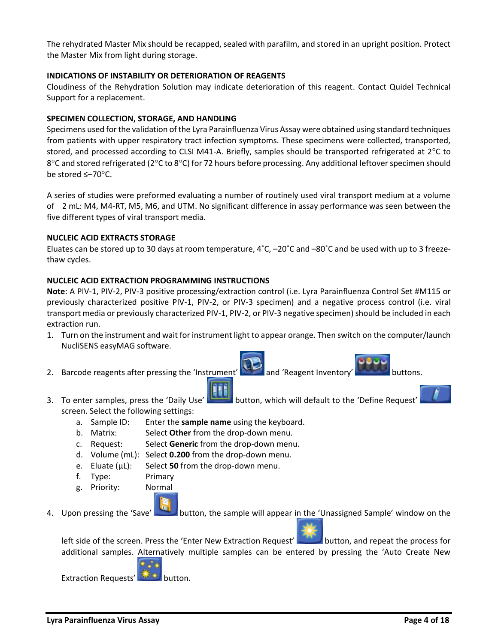The rehydrated Master Mix should be recapped, sealed with parafilm, and stored in an upright position. Protect the Master Mix from light during storage.

## **INDICATIONS OF INSTABILITY OR DETERIORATION OF REAGENTS**

Cloudiness of the Rehydration Solution may indicate deterioration of this reagent. Contact Quidel Technical Support for a replacement.

## **SPECIMEN COLLECTION, STORAGE, AND HANDLING**

Specimens used for the validation of the Lyra Parainfluenza Virus Assay were obtained using standard techniques from patients with upper respiratory tract infection symptoms. These specimens were collected, transported, stored, and processed according to CLSI M41-A. Briefly, samples should be transported refrigerated at  $2^{\circ}$ C to 8°C and stored refrigerated (2°C to 8°C) for 72 hours before processing. Any additional leftover specimen should be stored ≤–70°C.

A series of studies were preformed evaluating a number of routinely used viral transport medium at a volume of 2 mL: M4, M4-RT, M5, M6, and UTM. No significant difference in assay performance was seen between the five different types of viral transport media.

### **NUCLEIC ACID EXTRACTS STORAGE**

Eluates can be stored up to 30 days at room temperature,  $4^{\circ}$ C,  $-20^{\circ}$ C and  $-80^{\circ}$ C and be used with up to 3 freezethaw cycles.

### **NUCLEIC ACID EXTRACTION PROGRAMMING INSTRUCTIONS**

**Note**: A PIV-1, PIV-2, PIV-3 positive processing/extraction control (i.e. Lyra Parainfluenza Control Set #M115 or previously characterized positive PIV-1, PIV-2, or PIV-3 specimen) and a negative process control (i.e. viral transport media or previously characterized PIV-1, PIV-2, or PIV-3 negative specimen) should be included in each extraction run.

- 1. Turn on the instrument and wait for instrument light to appear orange. Then switch on the computer/launch NucliSENS easyMAG software.
- 2. Barcode reagents after pressing the 'Instrument' and 'Reagent Inventory' buttons.

- 3. To enter samples, press the 'Daily Use' button, which will default to the 'Define Request' screen. Select the following settings:
	- a. Sample ID: Enter the **sample name** using the keyboard.
	- b. Matrix: Select **Other** from the drop-down menu.
	- c. Request: Select **Generic** from the drop-down menu.
	- d. Volume (mL): Select **0.200** from the drop-down menu.
	- e. Eluate (µL): Select **50** from the drop-down menu.
	- f. Type: Primary
	- g. Priority: Normal
- 4. Upon pressing the 'Save' button, the sample will appear in the 'Unassigned Sample' window on the

left side of the screen. Press the 'Enter New Extraction Request' button, and repeat the process for additional samples. Alternatively multiple samples can be entered by pressing the 'Auto Create New



Extraction Requests' **Extraction**.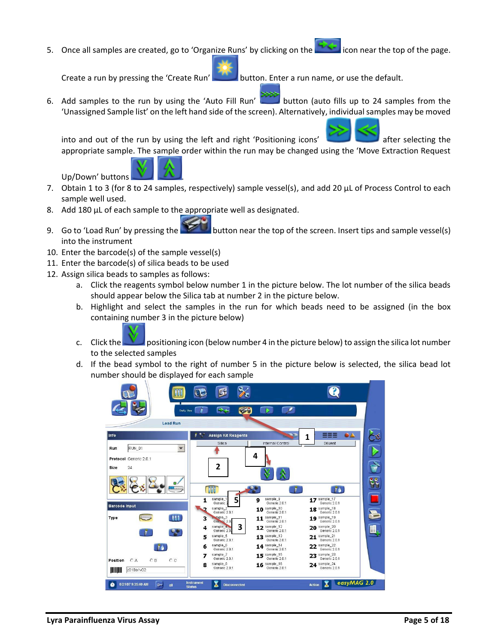5. Once all samples are created, go to 'Organize Runs' by clicking on the icon near the top of the page.

Create a run by pressing the 'Create Run' button. Enter a run name, or use the default.

6. Add samples to the run by using the 'Auto Fill Run' button (auto fills up to 24 samples from the 'Unassigned Sample list' on the left hand side of the screen). Alternatively, individual samples may be moved

into and out of the run by using the left and right 'Positioning icons' after selecting the appropriate sample. The sample order within the run may be changed using the 'Move Extraction Request



- 7. Obtain 1 to 3 (for 8 to 24 samples, respectively) sample vessel(s), and add 20  $\mu$ L of Process Control to each sample well used.
- 8. Add 180 µL of each sample to the appropriate well as designated.
- 9. Go to 'Load Run' by pressing the **button near the top of the screen.** Insert tips and sample vessel(s) into the instrument
- 10. Enter the barcode(s) of the sample vessel(s)
- 11. Enter the barcode(s) of silica beads to be used
- 12. Assign silica beads to samples as follows:

Up/Down' buttons

- a. Click the reagents symbol below number 1 in the picture below. The lot number of the silica beads should appear below the Silica tab at number 2 in the picture below.
- b. Highlight and select the samples in the run for which beads need to be assigned (in the box containing number 3 in the picture below)
- c. Click the positioning icon (below number 4 in the picture below) to assign the silica lot number to the selected samples
- d. If the bead symbol to the right of number 5 in the picture below is selected, the silica bead lot number should be displayed for each sample

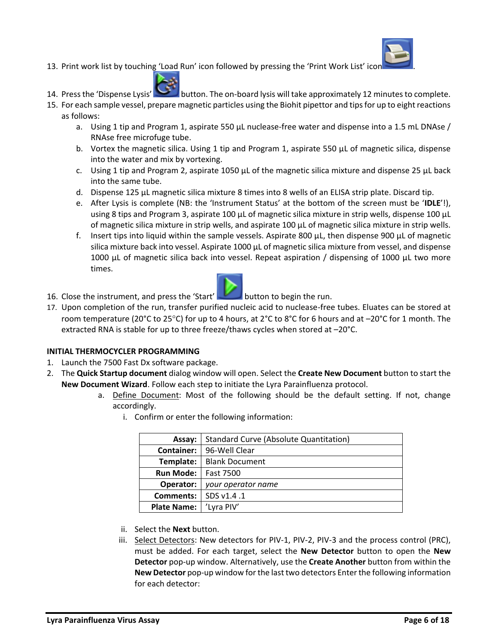

- 13. Print work list by touching 'Load Run' icon followed by pressing the 'Print Work List' icon .
- 14. Press the 'Dispense Lysis' button. The on-board lysis will take approximately 12 minutes to complete.
- 15. For each sample vessel, prepare magnetic particles using the Biohit pipettor and tips for up to eight reactions as follows:
	- a. Using 1 tip and Program 1, aspirate 550 µL nuclease-free water and dispense into a 1.5 mL DNAse / RNAse free microfuge tube.
	- b. Vortex the magnetic silica. Using 1 tip and Program 1, aspirate 550  $\mu$ L of magnetic silica, dispense into the water and mix by vortexing.
	- c. Using 1 tip and Program 2, aspirate 1050  $\mu$ L of the magnetic silica mixture and dispense 25  $\mu$ L back into the same tube.
	- d. Dispense 125 µL magnetic silica mixture 8 times into 8 wells of an ELISA strip plate. Discard tip.
	- e. After Lysis is complete (NB: the 'Instrument Status' at the bottom of the screen must be '**IDLE**'!), using 8 tips and Program 3, aspirate 100 µL of magnetic silica mixture in strip wells, dispense 100 µL of magnetic silica mixture in strip wells, and aspirate 100 µL of magnetic silica mixture in strip wells.
	- f. Insert tips into liquid within the sample vessels. Aspirate 800  $\mu$ L, then dispense 900  $\mu$ L of magnetic silica mixture back into vessel. Aspirate 1000 µL of magnetic silica mixture from vessel, and dispense 1000  $\mu$ L of magnetic silica back into vessel. Repeat aspiration / dispensing of 1000  $\mu$ L two more times.
- 16. Close the instrument, and press the 'Start' button to begin the run.
- 17. Upon completion of the run, transfer purified nucleic acid to nuclease-free tubes. Eluates can be stored at room temperature (20°C to 25°C) for up to 4 hours, at 2°C to 8°C for 6 hours and at  $-20^{\circ}$ C for 1 month. The extracted RNA is stable for up to three freeze/thaws cycles when stored at –20°C.

# **INITIAL THERMOCYCLER PROGRAMMING**

- 1. Launch the 7500 Fast Dx software package.
- 2. The **Quick Startup document** dialog window will open. Select the **Create New Document** button to start the **New Document Wizard**. Follow each step to initiate the Lyra Parainfluenza protocol.
	- a. Define Document: Most of the following should be the default setting. If not, change accordingly.
		- i. Confirm or enter the following information:

| Assay:             | Standard Curve (Absolute Quantitation) |  |
|--------------------|----------------------------------------|--|
| Container:         | 96-Well Clear                          |  |
| Template:          | <b>Blank Document</b>                  |  |
| <b>Run Mode:</b>   | <b>Fast 7500</b>                       |  |
| Operator:          | your operator name                     |  |
| Comments:          | SDS v1.4.1                             |  |
| <b>Plate Name:</b> | 'Lyra PIV'                             |  |

- ii. Select the **Next** button.
- iii. Select Detectors: New detectors for PIV-1, PIV-2, PIV-3 and the process control (PRC), must be added. For each target, select the **New Detector** button to open the **New Detector** pop-up window. Alternatively, use the **Create Another** button from within the **New Detector** pop-up window for the last two detectors Enter the following information for each detector: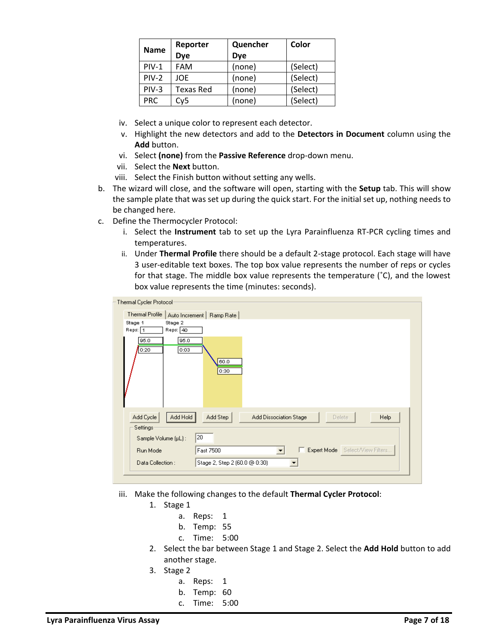| Reporter<br><b>Name</b> |                  | Quencher   | Color    |
|-------------------------|------------------|------------|----------|
|                         | Dye              | <b>Dye</b> |          |
| $PIV-1$                 | <b>FAM</b>       | (none)     | (Select) |
| $PIV-2$                 | JOE.             | (none)     | (Select) |
| $PIV-3$                 | <b>Texas Red</b> | (none)     | (Select) |
| <b>PRC</b>              | Cv5              | (none)     | (Select) |

- iv. Select a unique color to represent each detector.
- v. Highlight the new detectors and add to the **Detectors in Document** column using the **Add** button.
- vi. Select **(none)** from the **Passive Reference** drop-down menu.
- vii. Select the **Next** button.
- viii. Select the Finish button without setting any wells.
- b. The wizard will close, and the software will open, starting with the **Setup** tab. This will show the sample plate that was set up during the quick start. For the initial set up, nothing needs to be changed here.
- c. Define the Thermocycler Protocol:
	- i. Select the **Instrument** tab to set up the Lyra Parainfluenza RT-PCR cycling times and temperatures.
	- ii. Under **Thermal Profile** there should be a default 2-stage protocol. Each stage will have 3 user-editable text boxes. The top box value represents the number of reps or cycles for that stage. The middle box value represents the temperature  $(°C)$ , and the lowest box value represents the time (minutes: seconds).

| Thermal Cycler Protocol-                  |                                                                        |
|-------------------------------------------|------------------------------------------------------------------------|
| Thermal Profile                           | Auto Increment   Ramp Rate                                             |
| Stage 2<br>Stage 1<br>Reps: 40<br>Reps: 1 |                                                                        |
| 95.0<br>95.0<br>0:03<br>0:20              | 60.0<br>0:30                                                           |
| Add Hold<br>Add Cycle<br>Settings         | Add Step<br><b>Help</b><br>Add Dissociation Stage<br>Delete            |
| Sample Volume (µL):                       | 20                                                                     |
| Run Mode                                  | Expert Mode   Select/View Filters<br>Fast 7500<br>$\blacktriangledown$ |
| Data Collection:                          | Stage 2, Step 2 (60.0 @ 0:30)                                          |
|                                           |                                                                        |

- iii. Make the following changes to the default **Thermal Cycler Protocol**:
	- 1. Stage 1
		- a. Reps: 1
		- b. Temp: 55
		- c. Time: 5:00
	- 2. Select the bar between Stage 1 and Stage 2. Select the **Add Hold** button to add another stage.
	- 3. Stage 2
		- a. Reps: 1
		- b. Temp: 60
		- c. Time: 5:00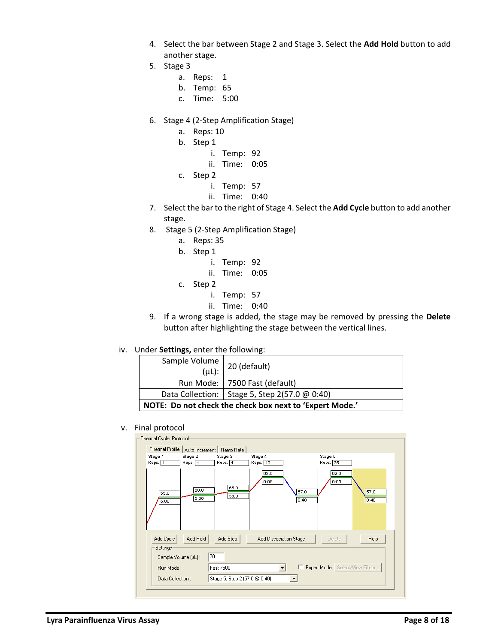- 4. Select the bar between Stage 2 and Stage 3. Select the **Add Hold** button to add another stage.
- 5. Stage 3
	- a. Reps: 1
	- b. Temp: 65
	- c. Time: 5:00
- 6. Stage 4 (2-Step Amplification Stage)
	- a. Reps: 10
	- b. Step 1
		- i. Temp: 92
		- ii. Time: 0:05
	- c. Step 2
		- i. Temp: 57
		- ii. Time: 0:40
- 7. Select the bar to the right of Stage 4. Select the **Add Cycle** button to add another stage.
- 8. Stage 5 (2-Step Amplification Stage)
	- a. Reps: 35
	- b. Step 1
		- i. Temp: 92
		- ii. Time: 0:05
	- c. Step 2
		- i. Temp: 57
		- ii. Time: 0:40
- 9. If a wrong stage is added, the stage may be removed by pressing the **Delete** button after highlighting the stage between the vertical lines.

## iv. Under **Settings,** enter the following:

| $(\mu L)$ :                                             | Sample Volume   20 (default)<br>Run Mode:   7500 Fast (default) |  |
|---------------------------------------------------------|-----------------------------------------------------------------|--|
| Data Collection:   Stage 5, Step 2(57.0 $@$ 0:40)       |                                                                 |  |
| NOTE: Do not check the check box next to 'Expert Mode.' |                                                                 |  |

#### v. Final protocol

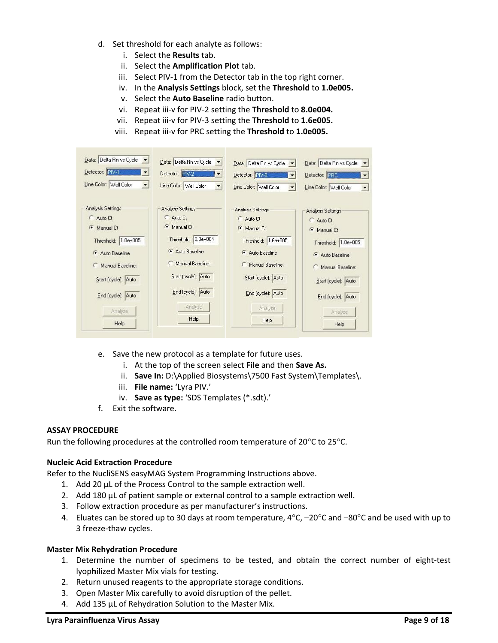- d. Set threshold for each analyte as follows:
	- i. Select the **Results** tab.
	- ii. Select the **Amplification Plot** tab.
	- iii. Select PIV-1 from the Detector tab in the top right corner.
	- iv. In the **Analysis Settings** block, set the **Threshold** to **1.0e005.**
	- v. Select the **Auto Baseline** radio button.
	- vi. Repeat iii-v for PIV-2 setting the **Threshold** to **8.0e004.**
	- vii. Repeat iii-v for PIV-3 setting the **Threshold** to **1.6e005.**
	- viii. Repeat iii-v for PRC setting the **Threshold** to **1.0e005.**

| Data: Delta Rn vs Cycle v               | Data: Delta Rn vs Cycle<br>ार।         | Data: Delta Rn vs Cycle v                      | Data: Delta Rn vs Cycle<br>$\overline{\phantom{a}}$ |
|-----------------------------------------|----------------------------------------|------------------------------------------------|-----------------------------------------------------|
| Detector: PIV-1<br>$\blacktriangledown$ | Detector: PV-2<br>$\blacktriangledown$ | Detector: FIV-3                                | Detector: PRC<br>$\overline{\phantom{a}}$           |
| Line Color: Well Color                  | Line Color: Well Color<br>회            | Line Color: Well Color<br>$\blacktriangledown$ | Line Color: Well Color<br>$\overline{\phantom{a}}$  |
| Analysis Settings                       | Analysis Settings                      | Analysis Settings                              | Analysis Settings                                   |
| Auto Ct                                 | Auto Ct                                | Auto Ct                                        | C Auto Ct                                           |
| $\sigma$<br>Manual Ct                   | Manual Ct<br>$\sqrt{2}$                | $\sigma$<br>Manual Ct                          | Manual Ct                                           |
| Threshold: 1.0e+005                     | Threshold: 8.0e+004                    | Threshold: 1.6e+005                            | Threshold: 1.0e+005                                 |
| Auto Baseline                           | Auto Baseline                          | Auto Baseline                                  | Auto Baseline                                       |
| Manual Baseline:                        | Manual Baseline:                       | Manual Baseline:                               | Manual Baseline:                                    |
| Start (cycle): Auto                     | Start (cycle): Auto                    | Start (cycle): Auto                            | Start (cycle): Auto                                 |
| End (cycle): Auto                       | End (cycle): Auto                      | End (cycle): Auto                              | End (cycle): Auto                                   |
| Analyze                                 | Analyze                                | Analyze                                        | Analyze                                             |
| Help                                    | <b>Help</b>                            | Help                                           | Help                                                |

- e. Save the new protocol as a template for future uses.
	- i. At the top of the screen select **File** and then **Save As.**
	- ii. **Save In:** D:\Applied Biosystems\7500 Fast System\Templates\.
	- iii. **File name:** 'Lyra PIV.'
	- iv. **Save as type:** 'SDS Templates (\*.sdt).'
- f. Exit the software.

# **ASSAY PROCEDURE**

Run the following procedures at the controlled room temperature of 20 $\rm ^oC$  to 25 $\rm ^oC$ .

## **Nucleic Acid Extraction Procedure**

Refer to the NucliSENS easyMAG System Programming Instructions above.

- 1. Add 20 µL of the Process Control to the sample extraction well.
- 2. Add 180 µL of patient sample or external control to a sample extraction well.
- 3. Follow extraction procedure as per manufacturer's instructions.
- 4. Eluates can be stored up to 30 days at room temperature,  $4^{\circ}$ C,  $-20^{\circ}$ C and  $-80^{\circ}$ C and be used with up to 3 freeze-thaw cycles.

## **Master Mix Rehydration Procedure**

- 1. Determine the number of specimens to be tested, and obtain the correct number of eight-test lyop**h**ilized Master Mix vials for testing.
- 2. Return unused reagents to the appropriate storage conditions.
- 3. Open Master Mix carefully to avoid disruption of the pellet.
- 4. Add 135 µL of Rehydration Solution to the Master Mix.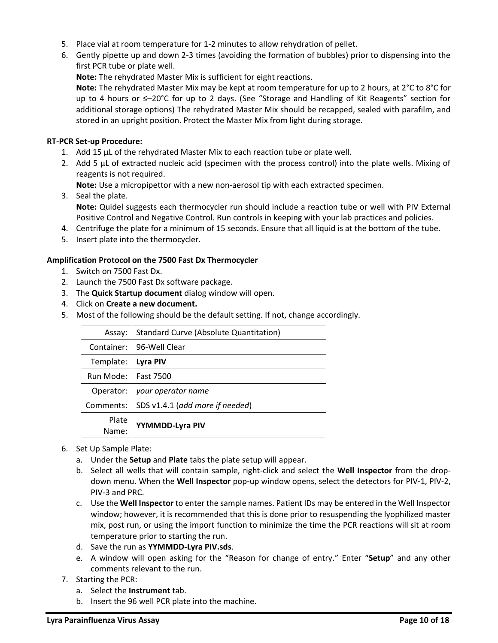- 5. Place vial at room temperature for 1-2 minutes to allow rehydration of pellet.
- 6. Gently pipette up and down 2-3 times (avoiding the formation of bubbles) prior to dispensing into the first PCR tube or plate well.
	- **Note:** The rehydrated Master Mix is sufficient for eight reactions.

**Note:** The rehydrated Master Mix may be kept at room temperature for up to 2 hours, at 2°C to 8°C for up to 4 hours or ≤–20°C for up to 2 days. (See "Storage and Handling of Kit Reagents" section for additional storage options) The rehydrated Master Mix should be recapped, sealed with parafilm, and stored in an upright position. Protect the Master Mix from light during storage.

## **RT-PCR Set-up Procedure:**

- 1. Add 15 µL of the rehydrated Master Mix to each reaction tube or plate well.
- 2. Add 5 µL of extracted nucleic acid (specimen with the process control) into the plate wells. Mixing of reagents is not required.

**Note:** Use a micropipettor with a new non-aerosol tip with each extracted specimen.

- 3. Seal the plate. **Note:** Quidel suggests each thermocycler run should include a reaction tube or well with PIV External Positive Control and Negative Control. Run controls in keeping with your lab practices and policies.
- 4. Centrifuge the plate for a minimum of 15 seconds. Ensure that all liquid is at the bottom of the tube.
- 5. Insert plate into the thermocycler.

# **Amplification Protocol on the 7500 Fast Dx Thermocycler**

- 1. Switch on 7500 Fast Dx.
- 2. Launch the 7500 Fast Dx software package.
- 3. The **Quick Startup document** dialog window will open.
- 4. Click on **Create a new document.**
- 5. Most of the following should be the default setting. If not, change accordingly.

| Assay:     | <b>Standard Curve (Absolute Quantitation)</b> |
|------------|-----------------------------------------------|
| Container: | 96-Well Clear                                 |
| Template:  | Lyra PIV                                      |
| Run Mode:  | <b>Fast 7500</b>                              |
| Operator:  | your operator name                            |
| Comments:  | SDS v1.4.1 (add more if needed)               |
| Plate      | YYMMDD-Lyra PIV                               |
| Name:      |                                               |

- 6. Set Up Sample Plate:
	- a. Under the **Setup** and **Plate** tabs the plate setup will appear.
	- b. Select all wells that will contain sample, right-click and select the **Well Inspector** from the dropdown menu. When the **Well Inspector** pop-up window opens, select the detectors for PIV-1, PIV-2, PIV-3 and PRC.
	- c. Use the **Well Inspector** to enter the sample names. Patient IDs may be entered in the Well Inspector window; however, it is recommended that this is done prior to resuspending the lyophilized master mix, post run, or using the import function to minimize the time the PCR reactions will sit at room temperature prior to starting the run.
	- d. Save the run as **YYMMDD-Lyra PIV.sds**.
	- e. A window will open asking for the "Reason for change of entry." Enter "**Setup**" and any other comments relevant to the run.
- 7. Starting the PCR:
	- a. Select the **Instrument** tab.
	- b. Insert the 96 well PCR plate into the machine.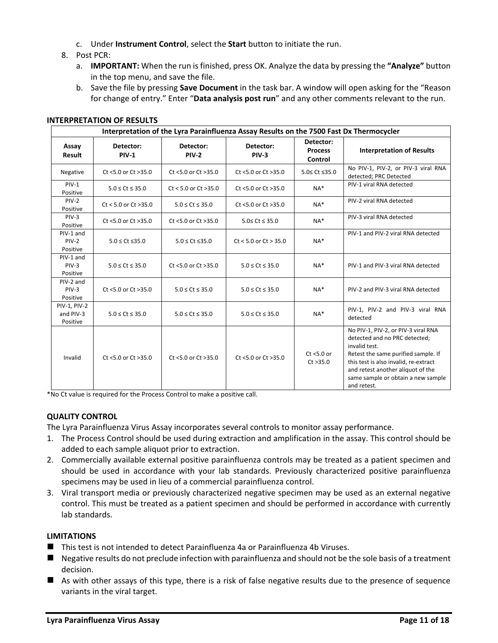- c. Under **Instrument Control**, select the **Start** button to initiate the run.
- 8. Post PCR:
	- a. **IMPORTANT:** When the run is finished, press OK. Analyze the data by pressing the **"Analyze"** button in the top menu, and save the file.
	- b. Save the file by pressing **Save Document** in the task bar. A window will open asking for the "Reason for change of entry." Enter "**Data analysis post run**" and any other comments relevant to the run.

| Interpretation of the Lyra Parainfluenza Assay Results on the 7500 Fast Dx Thermocycler |                            |                            |                            |                                        |                                                                                                                                                                                                                                                                 |
|-----------------------------------------------------------------------------------------|----------------------------|----------------------------|----------------------------|----------------------------------------|-----------------------------------------------------------------------------------------------------------------------------------------------------------------------------------------------------------------------------------------------------------------|
| Assay<br>Result                                                                         | Detector:<br><b>PIV-1</b>  | Detector:<br><b>PIV-2</b>  | Detector:<br><b>PIV-3</b>  | Detector:<br><b>Process</b><br>Control | <b>Interpretation of Results</b>                                                                                                                                                                                                                                |
| Negative                                                                                | Ct <5.0 or Ct >35.0        | Ct <5.0 or Ct >35.0        | Ct <5.0 or Ct >35.0        | 5.0≤ Ct ≤35.0                          | No PIV-1, PIV-2, or PIV-3 viral RNA<br>detected; PRC Detected                                                                                                                                                                                                   |
| $PIV-1$<br>Positive                                                                     | $5.0 \leq Ct \leq 35.0$    | $Ct < 5.0$ or $Ct > 35.0$  | Ct <5.0 or Ct >35.0        | $NA*$                                  | PIV-1 viral RNA detected                                                                                                                                                                                                                                        |
| $PIV-2$<br>Positive                                                                     | $Ct < 5.0$ or $Ct > 35.0$  | $5.0 \leq C$ t $\leq 35.0$ | Ct <5.0 or Ct >35.0        | $NA*$                                  | PIV-2 viral RNA detected                                                                                                                                                                                                                                        |
| $PIV-3$<br>Positive                                                                     | Ct <5.0 or Ct >35.0        | Ct <5.0 or Ct >35.0        | $5.0 \leq Ct \leq 35.0$    | $NA*$                                  | PIV-3 viral RNA detected                                                                                                                                                                                                                                        |
| PIV-1 and<br>$PIV-2$<br>Positive                                                        | $5.0 \leq C$ t $\leq$ 35.0 | $5.0 \leq C$ t $\leq$ 35.0 | $Ct < 5.0$ or $Ct > 35.0$  | $NA*$                                  | PIV-1 and PIV-2 viral RNA detected                                                                                                                                                                                                                              |
| PIV-1 and<br>$PIV-3$<br>Positive                                                        | $5.0 \leq Ct \leq 35.0$    | Ct <5.0 or Ct >35.0        | $5.0 \leq C$ t $\leq 35.0$ | $NA*$                                  | PIV-1 and PIV-3 viral RNA detected                                                                                                                                                                                                                              |
| PIV-2 and<br>$PIV-3$<br>Positive                                                        | Ct <5.0 or Ct >35.0        | $5.0 \leq C t \leq 35.0$   | $5.0 \leq C t \leq 35.0$   | $NA*$                                  | PIV-2 and PIV-3 viral RNA detected                                                                                                                                                                                                                              |
| PIV-1, PIV-2<br>and PIV-3<br>Positive                                                   | $5.0 \leq Ct \leq 35.0$    | $5.0 \leq C$ t $\leq 35.0$ | $5.0 \leq C$ t $\leq 35.0$ | $NA*$                                  | PIV-1, PIV-2 and PIV-3 viral RNA<br>detected                                                                                                                                                                                                                    |
| Invalid                                                                                 | $Ct$ <5.0 or $Ct$ >35.0    | $Ct$ <5.0 or $Ct$ >35.0    | $Ct$ <5.0 or $Ct > 35.0$   | $Ct < 5.0$ or<br>Ct > 35.0             | No PIV-1, PIV-2, or PIV-3 viral RNA<br>detected and no PRC detected;<br>invalid test.<br>Retest the same purified sample. If<br>this test is also invalid, re-extract<br>and retest another aliquot of the<br>same sample or obtain a new sample<br>and retest. |

### **INTERPRETATION OF RESULTS**

\*No Ct value is required for the Process Control to make a positive call.

## **QUALITY CONTROL**

The Lyra Parainfluenza Virus Assay incorporates several controls to monitor assay performance.

- 1. The Process Control should be used during extraction and amplification in the assay. This control should be added to each sample aliquot prior to extraction.
- 2. Commercially available external positive parainfluenza controls may be treated as a patient specimen and should be used in accordance with your lab standards. Previously characterized positive parainfluenza specimens may be used in lieu of a commercial parainfluenza control.
- 3. Viral transport media or previously characterized negative specimen may be used as an external negative control. This must be treated as a patient specimen and should be performed in accordance with currently lab standards.

## **LIMITATIONS**

- This test is not intended to detect Parainfluenza 4a or Parainfluenza 4b Viruses.
- Negative results do not preclude infection with parainfluenza and should not be the sole basis of a treatment decision.
- As with other assays of this type, there is a risk of false negative results due to the presence of sequence variants in the viral target.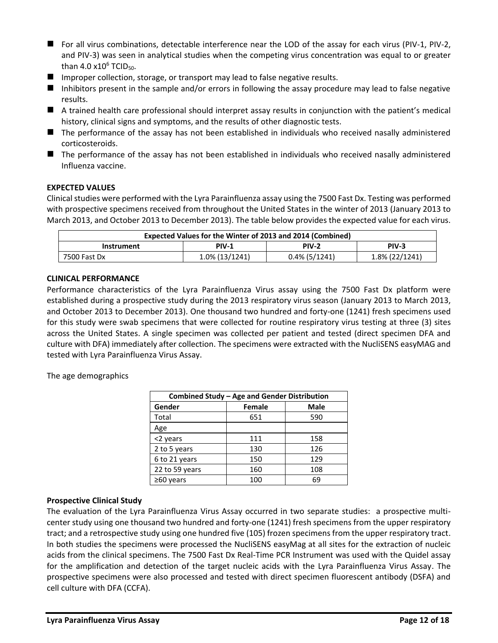- For all virus combinations, detectable interference near the LOD of the assay for each virus (PIV-1, PIV-2, and PIV-3) was seen in analytical studies when the competing virus concentration was equal to or greater than 4.0 x10 $^6$  TCID<sub>50</sub>.
- Improper collection, storage, or transport may lead to false negative results.
- Inhibitors present in the sample and/or errors in following the assay procedure may lead to false negative results.
- A trained health care professional should interpret assay results in conjunction with the patient's medical history, clinical signs and symptoms, and the results of other diagnostic tests.
- The performance of the assay has not been established in individuals who received nasally administered corticosteroids.
- The performance of the assay has not been established in individuals who received nasally administered Influenza vaccine.

# **EXPECTED VALUES**

Clinical studies were performed with the Lyra Parainfluenza assay using the 7500 Fast Dx. Testing was performed with prospective specimens received from throughout the United States in the winter of 2013 (January 2013 to March 2013, and October 2013 to December 2013). The table below provides the expected value for each virus.

| Expected Values for the Winter of 2013 and 2014 (Combined)           |  |  |  |  |
|----------------------------------------------------------------------|--|--|--|--|
| <b>PIV-2</b><br>PIV-3<br><b>PIV-1</b><br>Instrument                  |  |  |  |  |
| $0.4\%$ (5/1241)<br>1.8% (22/1241)<br>1.0% (13/1241)<br>7500 Fast Dx |  |  |  |  |

## **CLINICAL PERFORMANCE**

Performance characteristics of the Lyra Parainfluenza Virus assay using the 7500 Fast Dx platform were established during a prospective study during the 2013 respiratory virus season (January 2013 to March 2013, and October 2013 to December 2013). One thousand two hundred and forty-one (1241) fresh specimens used for this study were swab specimens that were collected for routine respiratory virus testing at three (3) sites across the United States. A single specimen was collected per patient and tested (direct specimen DFA and culture with DFA) immediately after collection. The specimens were extracted with the NucliSENS easyMAG and tested with Lyra Parainfluenza Virus Assay.

The age demographics

| Combined Study - Age and Gender Distribution |     |     |  |  |  |
|----------------------------------------------|-----|-----|--|--|--|
| Gender<br><b>Male</b><br><b>Female</b>       |     |     |  |  |  |
| Total                                        | 651 | 590 |  |  |  |
| Age                                          |     |     |  |  |  |
| <2 years                                     | 111 | 158 |  |  |  |
| 2 to 5 years                                 | 130 | 126 |  |  |  |
| 6 to 21 years                                | 150 | 129 |  |  |  |
| 22 to 59 years                               | 160 | 108 |  |  |  |
| $\geq 60$ years                              | 100 | 69  |  |  |  |

## **Prospective Clinical Study**

The evaluation of the Lyra Parainfluenza Virus Assay occurred in two separate studies: a prospective multicenter study using one thousand two hundred and forty-one (1241) fresh specimens from the upper respiratory tract; and a retrospective study using one hundred five (105) frozen specimens from the upper respiratory tract. In both studies the specimens were processed the NucliSENS easyMag at all sites for the extraction of nucleic acids from the clinical specimens. The 7500 Fast Dx Real-Time PCR Instrument was used with the Quidel assay for the amplification and detection of the target nucleic acids with the Lyra Parainfluenza Virus Assay. The prospective specimens were also processed and tested with direct specimen fluorescent antibody (DSFA) and cell culture with DFA (CCFA).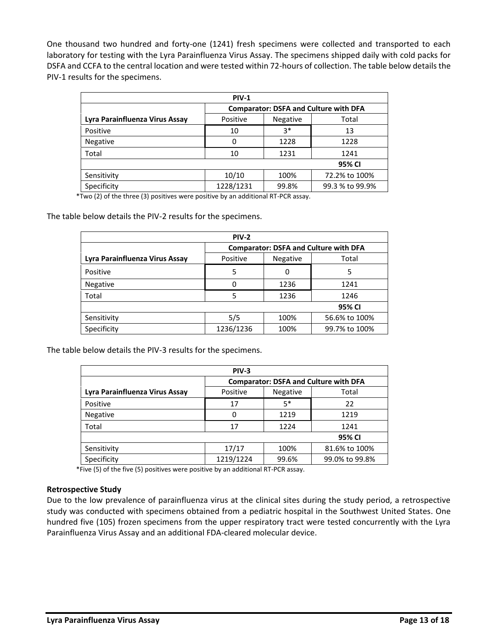One thousand two hundred and forty-one (1241) fresh specimens were collected and transported to each laboratory for testing with the Lyra Parainfluenza Virus Assay. The specimens shipped daily with cold packs for DSFA and CCFA to the central location and were tested within 72-hours of collection. The table below details the PIV-1 results for the specimens.

| <b>PIV-1</b>                   |                                              |       |                 |  |
|--------------------------------|----------------------------------------------|-------|-----------------|--|
|                                | <b>Comparator: DSFA and Culture with DFA</b> |       |                 |  |
| Lyra Parainfluenza Virus Assay | Positive<br>Negative<br>Total                |       |                 |  |
| Positive                       | 10                                           | $3*$  | 13              |  |
| <b>Negative</b>                | 0                                            | 1228  | 1228            |  |
| Total                          | 10                                           | 1231  | 1241            |  |
| 95% CI                         |                                              |       |                 |  |
| Sensitivity                    | 10/10                                        | 100%  | 72.2% to 100%   |  |
| Specificity                    | 1228/1231                                    | 99.8% | 99.3 % to 99.9% |  |

\*Two (2) of the three (3) positives were positive by an additional RT-PCR assay.

The table below details the PIV-2 results for the specimens.

| <b>PIV-2</b>                   |                                              |          |               |
|--------------------------------|----------------------------------------------|----------|---------------|
|                                | <b>Comparator: DSFA and Culture with DFA</b> |          |               |
| Lyra Parainfluenza Virus Assay | Positive                                     | Negative | Total         |
| Positive                       | 5                                            | 0        | 5             |
| <b>Negative</b>                | O                                            | 1236     | 1241          |
| Total                          | 5                                            | 1236     | 1246          |
| 95% CI                         |                                              |          |               |
| Sensitivity                    | 5/5                                          | 100%     | 56.6% to 100% |
| Specificity                    | 1236/1236                                    | 100%     | 99.7% to 100% |

The table below details the PIV-3 results for the specimens.

| <b>PIV-3</b>                   |                                              |          |                |
|--------------------------------|----------------------------------------------|----------|----------------|
|                                | <b>Comparator: DSFA and Culture with DFA</b> |          |                |
| Lyra Parainfluenza Virus Assay | Positive                                     | Negative | Total          |
| Positive                       | 17                                           | $5*$     | 22             |
| Negative                       | 0                                            | 1219     | 1219           |
| Total                          | 17                                           | 1224     | 1241           |
| 95% CI                         |                                              |          |                |
| Sensitivity                    | 17/17                                        | 100%     | 81.6% to 100%  |
| Specificity                    | 1219/1224                                    | 99.6%    | 99.0% to 99.8% |

\*Five (5) of the five (5) positives were positive by an additional RT-PCR assay.

### **Retrospective Study**

Due to the low prevalence of parainfluenza virus at the clinical sites during the study period, a retrospective study was conducted with specimens obtained from a pediatric hospital in the Southwest United States. One hundred five (105) frozen specimens from the upper respiratory tract were tested concurrently with the Lyra Parainfluenza Virus Assay and an additional FDA-cleared molecular device.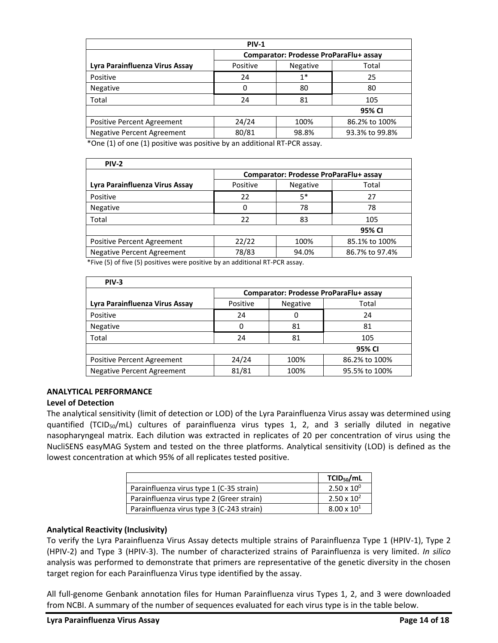| <b>PIV-1</b>                      |                                        |                 |                |
|-----------------------------------|----------------------------------------|-----------------|----------------|
|                                   | Comparator: Prodesse ProParaFlu+ assay |                 |                |
| Lyra Parainfluenza Virus Assay    | Positive                               | <b>Negative</b> | Total          |
| Positive                          | 24                                     | $1*$            | 25             |
| Negative                          | 0                                      | 80              | 80             |
| Total                             | 24                                     | 81              | 105            |
| 95% CI                            |                                        |                 |                |
| <b>Positive Percent Agreement</b> | 24/24                                  | 100%            | 86.2% to 100%  |
| <b>Negative Percent Agreement</b> | 80/81                                  | 98.8%           | 93.3% to 99.8% |

\*One (1) of one (1) positive was positive by an additional RT-PCR assay.

| <b>PIV-2</b>                      |                                        |          |                |
|-----------------------------------|----------------------------------------|----------|----------------|
|                                   | Comparator: Prodesse ProParaFlu+ assay |          |                |
| Lyra Parainfluenza Virus Assay    | Positive                               | Negative | Total          |
| Positive                          | 22                                     | $5*$     | 27             |
| <b>Negative</b>                   | 0                                      | 78       | 78             |
| Total                             | 22                                     | 83       | 105            |
|                                   |                                        |          | 95% CI         |
| Positive Percent Agreement        | 22/22                                  | 100%     | 85.1% to 100%  |
| <b>Negative Percent Agreement</b> | 78/83                                  | 94.0%    | 86.7% to 97.4% |

\*Five (5) of five (5) positives were positive by an additional RT-PCR assay.

| $PIV-3$                           |                                        |                 |               |
|-----------------------------------|----------------------------------------|-----------------|---------------|
|                                   | Comparator: Prodesse ProParaFlu+ assay |                 |               |
| Lyra Parainfluenza Virus Assay    | Positive                               | <b>Negative</b> | Total         |
| Positive                          | 24                                     | 0               | 24            |
| Negative                          | 0                                      | 81              | 81            |
| Total                             | 24                                     | 81              | 105           |
|                                   |                                        |                 | 95% CI        |
| Positive Percent Agreement        | 24/24                                  | 100%            | 86.2% to 100% |
| <b>Negative Percent Agreement</b> | 81/81                                  | 100%            | 95.5% to 100% |

## **ANALYTICAL PERFORMANCE**

## **Level of Detection**

The analytical sensitivity (limit of detection or LOD) of the Lyra Parainfluenza Virus assay was determined using quantified (TCID<sub>50</sub>/mL) cultures of parainfluenza virus types 1, 2, and 3 serially diluted in negative nasopharyngeal matrix. Each dilution was extracted in replicates of 20 per concentration of virus using the NucliSENS easyMAG System and tested on the three platforms. Analytical sensitivity (LOD) is defined as the lowest concentration at which 95% of all replicates tested positive.

|                                           | TCID <sub>50</sub> /mL |
|-------------------------------------------|------------------------|
| Parainfluenza virus type 1 (C-35 strain)  | $2.50 \times 10^{0}$   |
| Parainfluenza virus type 2 (Greer strain) | $2.50 \times 10^{2}$   |
| Parainfluenza virus type 3 (C-243 strain) | $8.00 \times 10^{1}$   |

## **Analytical Reactivity (Inclusivity)**

To verify the Lyra Parainfluenza Virus Assay detects multiple strains of Parainfluenza Type 1 (HPIV-1), Type 2 (HPIV-2) and Type 3 (HPIV-3). The number of characterized strains of Parainfluenza is very limited. *In silico* analysis was performed to demonstrate that primers are representative of the genetic diversity in the chosen target region for each Parainfluenza Virus type identified by the assay.

All full-genome Genbank annotation files for Human Parainfluenza virus Types 1, 2, and 3 were downloaded from NCBI. A summary of the number of sequences evaluated for each virus type is in the table below.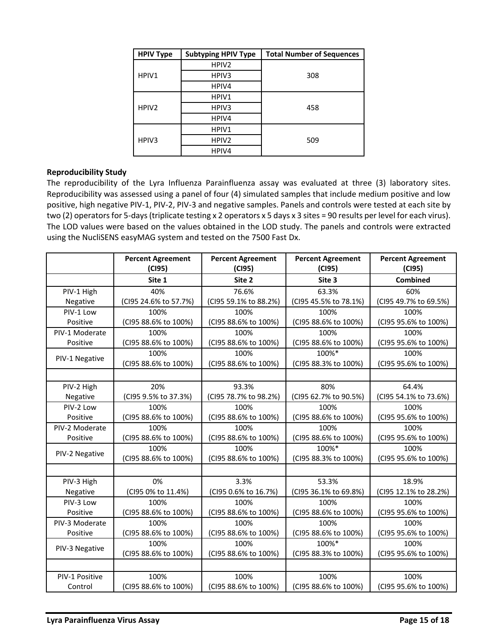| <b>HPIV Type</b>  | <b>Subtyping HPIV Type</b> | <b>Total Number of Sequences</b> |
|-------------------|----------------------------|----------------------------------|
|                   | HPIV <sub>2</sub>          |                                  |
| HPIV1             | HPIV3                      | 308                              |
|                   | HPIV4                      |                                  |
|                   | HPIV1                      |                                  |
| HPIV <sub>2</sub> | HPIV3                      | 458                              |
|                   | HPIV4                      |                                  |
|                   | HPIV1                      |                                  |
| HPIV <sub>3</sub> | HPIV <sub>2</sub>          | 509                              |
|                   | HPIV4                      |                                  |

## **Reproducibility Study**

The reproducibility of the Lyra Influenza Parainfluenza assay was evaluated at three (3) laboratory sites. Reproducibility was assessed using a panel of four (4) simulated samples that include medium positive and low positive, high negative PIV-1, PIV-2, PIV-3 and negative samples. Panels and controls were tested at each site by two (2) operators for 5-days (triplicate testing x 2 operators x 5 days x 3 sites = 90 results per level for each virus). The LOD values were based on the values obtained in the LOD study. The panels and controls were extracted using the NucliSENS easyMAG system and tested on the 7500 Fast Dx.

|                | <b>Percent Agreement</b><br>(C195) | <b>Percent Agreement</b><br>(C195) | <b>Percent Agreement</b><br>(C195) | <b>Percent Agreement</b><br>(C195) |
|----------------|------------------------------------|------------------------------------|------------------------------------|------------------------------------|
|                | Site 1                             | Site 2                             | Site 3                             | <b>Combined</b>                    |
| PIV-1 High     | 40%                                | 76.6%                              | 63.3%                              | 60%                                |
| Negative       | (CI95 24.6% to 57.7%)              | (CI95 59.1% to 88.2%)              | (CI95 45.5% to 78.1%)              | (CI95 49.7% to 69.5%)              |
| PIV-1 Low      | 100%                               | 100%                               | 100%                               | 100%                               |
| Positive       | (CI95 88.6% to 100%)               | (CI95 88.6% to 100%)               | (CI95 88.6% to 100%)               | (CI95 95.6% to 100%)               |
| PIV-1 Moderate | 100%                               | 100%                               | 100%                               | 100%                               |
| Positive       | (CI95 88.6% to 100%)               | (CI95 88.6% to 100%)               | (CI95 88.6% to 100%)               | (CI95 95.6% to 100%)               |
| PIV-1 Negative | 100%                               | 100%                               | 100%*                              | 100%                               |
|                | (CI95 88.6% to 100%)               | (CI95 88.6% to 100%)               | (CI95 88.3% to 100%)               | (CI95 95.6% to 100%)               |
|                |                                    |                                    |                                    |                                    |
| PIV-2 High     | 20%                                | 93.3%                              | 80%                                | 64.4%                              |
| Negative       | (CI95 9.5% to 37.3%)               | (CI95 78.7% to 98.2%)              | (CI95 62.7% to 90.5%)              | (CI95 54.1% to 73.6%)              |
| PIV-2 Low      | 100%                               | 100%                               | 100%                               | 100%                               |
| Positive       | (CI95 88.6% to 100%)               | (CI95 88.6% to 100%)               | (CI95 88.6% to 100%)               | (CI95 95.6% to 100%)               |
| PIV-2 Moderate | 100%                               | 100%                               | 100%                               | 100%                               |
| Positive       | (CI95 88.6% to 100%)               | (CI95 88.6% to 100%)               | (CI95 88.6% to 100%)               | (CI95 95.6% to 100%)               |
| PIV-2 Negative | 100%                               | 100%                               | 100%*                              | 100%                               |
|                | (CI95 88.6% to 100%)               | (CI95 88.6% to 100%)               | (CI95 88.3% to 100%)               | (CI95 95.6% to 100%)               |
|                |                                    |                                    |                                    |                                    |
| PIV-3 High     | 0%                                 | 3.3%                               | 53.3%                              | 18.9%                              |
| Negative       | (CI95 0% to 11.4%)                 | (CI95 0.6% to 16.7%)               | (CI95 36.1% to 69.8%)              | (CI95 12.1% to 28.2%)              |
| PIV-3 Low      | 100%                               | 100%                               | 100%                               | 100%                               |
| Positive       | (CI95 88.6% to 100%)               | (CI95 88.6% to 100%)               | (CI95 88.6% to 100%)               | (CI95 95.6% to 100%)               |
| PIV-3 Moderate | 100%                               | 100%                               | 100%                               | 100%                               |
| Positive       | (CI95 88.6% to 100%)               | (CI95 88.6% to 100%)               | (CI95 88.6% to 100%)               | (CI95 95.6% to 100%)               |
| PIV-3 Negative | 100%                               | 100%                               | 100%*                              | 100%                               |
|                | (CI95 88.6% to 100%)               | (CI95 88.6% to 100%)               | (CI95 88.3% to 100%)               | (CI95 95.6% to 100%)               |
|                |                                    |                                    |                                    |                                    |
| PIV-1 Positive | 100%                               | 100%                               | 100%                               | 100%                               |
| Control        | (CI95 88.6% to 100%)               | (CI95 88.6% to 100%)               | (CI95 88.6% to 100%)               | (CI95 95.6% to 100%)               |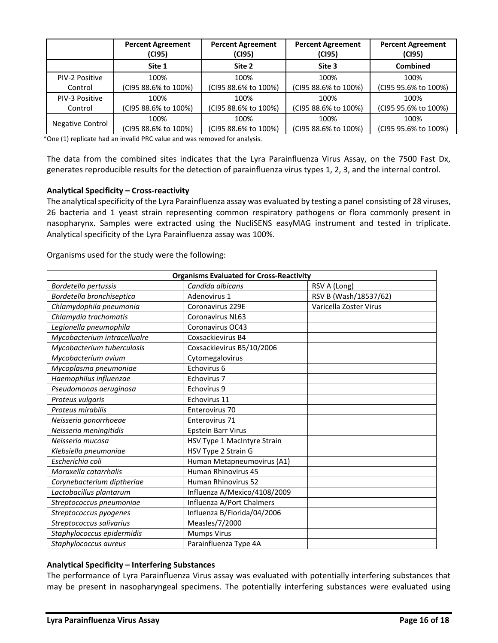|                  | <b>Percent Agreement</b><br>(CI95) | <b>Percent Agreement</b><br>(CI95) | <b>Percent Agreement</b><br>(CI95) | <b>Percent Agreement</b><br>(C195) |
|------------------|------------------------------------|------------------------------------|------------------------------------|------------------------------------|
|                  | Site 1                             | Site 2                             | Site 3                             | <b>Combined</b>                    |
| PIV-2 Positive   | 100%                               | 100%                               | 100%                               | 100%                               |
| Control          | (CI95 88.6% to 100%)               | (CI95 88.6% to 100%)               | (CI95 88.6% to 100%)               | (CI95 95.6% to 100%)               |
| PIV-3 Positive   | 100%                               | 100%                               | 100%                               | 100%                               |
| Control          | (CI95 88.6% to 100%)               | (CI95 88.6% to 100%)               | (CI95 88.6% to 100%)               | (CI95 95.6% to 100%)               |
|                  | 100%                               | 100%                               | 100%                               | 100%                               |
| Negative Control | (CI95 88.6% to 100%)               | (CI95 88.6% to 100%)               | (CI95 88.6% to 100%)               | (CI95 95.6% to 100%)               |

\*One (1) replicate had an invalid PRC value and was removed for analysis.

The data from the combined sites indicates that the Lyra Parainfluenza Virus Assay, on the 7500 Fast Dx, generates reproducible results for the detection of parainfluenza virus types 1, 2, 3, and the internal control.

### **Analytical Specificity – Cross-reactivity**

The analytical specificity of the Lyra Parainfluenza assay was evaluated by testing a panel consisting of 28 viruses, 26 bacteria and 1 yeast strain representing common respiratory pathogens or flora commonly present in nasopharynx. Samples were extracted using the NucliSENS easyMAG instrument and tested in triplicate. Analytical specificity of the Lyra Parainfluenza assay was 100%.

Organisms used for the study were the following:

| <b>Organisms Evaluated for Cross-Reactivity</b> |                              |                        |  |  |
|-------------------------------------------------|------------------------------|------------------------|--|--|
| Bordetella pertussis                            | Candida albicans             | RSV A (Long)           |  |  |
| Bordetella bronchiseptica                       | Adenovirus 1                 | RSV B (Wash/18537/62)  |  |  |
| Chlamydophila pneumonia                         | Coronavirus 229E             | Varicella Zoster Virus |  |  |
| Chlamydia trachomatis                           | Coronavirus NL63             |                        |  |  |
| Legionella pneumophila                          | Coronavirus OC43             |                        |  |  |
| Mycobacterium intracellualre                    | Coxsackievirus B4            |                        |  |  |
| Mycobacterium tuberculosis                      | Coxsackievirus B5/10/2006    |                        |  |  |
| Mycobacterium avium                             | Cytomegalovirus              |                        |  |  |
| Mycoplasma pneumoniae                           | Echovirus 6                  |                        |  |  |
| Haemophilus influenzae                          | Echovirus 7                  |                        |  |  |
| Pseudomonas aeruginosa                          | Echovirus 9                  |                        |  |  |
| Proteus vulgaris                                | Echovirus 11                 |                        |  |  |
| Proteus mirabilis                               | Enterovirus 70               |                        |  |  |
| Neisseria gonorrhoeae                           | Enterovirus 71               |                        |  |  |
| Neisseria meningitidis                          | <b>Epstein Barr Virus</b>    |                        |  |  |
| Neisseria mucosa                                | HSV Type 1 MacIntyre Strain  |                        |  |  |
| Klebsiella pneumoniae                           | HSV Type 2 Strain G          |                        |  |  |
| Escherichia coli                                | Human Metapneumovirus (A1)   |                        |  |  |
| Moraxella catarrhalis                           | Human Rhinovirus 45          |                        |  |  |
| Corynebacterium diptheriae                      | Human Rhinovirus 52          |                        |  |  |
| Lactobacillus plantarum                         | Influenza A/Mexico/4108/2009 |                        |  |  |
| Streptococcus pneumoniae                        | Influenza A/Port Chalmers    |                        |  |  |
| Streptococcus pyogenes                          | Influenza B/Florida/04/2006  |                        |  |  |
| Streptococcus salivarius                        | Measles/7/2000               |                        |  |  |
| Staphylococcus epidermidis                      | <b>Mumps Virus</b>           |                        |  |  |
| Staphylococcus aureus                           | Parainfluenza Type 4A        |                        |  |  |

## **Analytical Specificity – Interfering Substances**

The performance of Lyra Parainfluenza Virus assay was evaluated with potentially interfering substances that may be present in nasopharyngeal specimens. The potentially interfering substances were evaluated using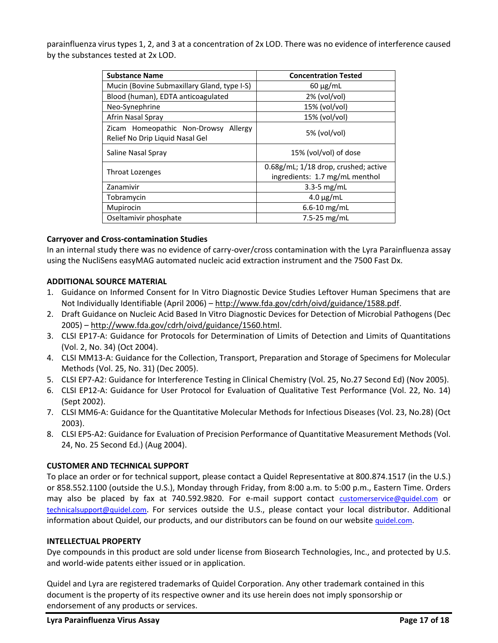parainfluenza virus types 1, 2, and 3 at a concentration of 2x LOD. There was no evidence of interference caused by the substances tested at 2x LOD.

| <b>Substance Name</b>                                                      | <b>Concentration Tested</b>                                            |
|----------------------------------------------------------------------------|------------------------------------------------------------------------|
| Mucin (Bovine Submaxillary Gland, type I-S)                                | $60 \mu g/mL$                                                          |
| Blood (human), EDTA anticoagulated                                         | $2\%$ (vol/vol)                                                        |
| Neo-Synephrine                                                             | 15% (vol/vol)                                                          |
| Afrin Nasal Spray                                                          | 15% (vol/vol)                                                          |
| Zicam Homeopathic Non-Drowsy<br>Allergy<br>Relief No Drip Liquid Nasal Gel | $5%$ (vol/vol)                                                         |
| Saline Nasal Spray                                                         | 15% (vol/vol) of dose                                                  |
| Throat Lozenges                                                            | 0.68g/mL; 1/18 drop, crushed; active<br>ingredients: 1.7 mg/mL menthol |
| Zanamivir                                                                  | $3.3 - 5$ mg/mL                                                        |
| Tobramycin                                                                 | $4.0 \mu g/mL$                                                         |
| Mupirocin                                                                  | $6.6 - 10$ mg/mL                                                       |
| Oseltamivir phosphate                                                      | 7.5-25 $mg/mL$                                                         |

## **Carryover and Cross-contamination Studies**

In an internal study there was no evidence of carry-over/cross contamination with the Lyra Parainfluenza assay using the NucliSens easyMAG automated nucleic acid extraction instrument and the 7500 Fast Dx.

# **ADDITIONAL SOURCE MATERIAL**

- 1. Guidance on Informed Consent for In Vitro Diagnostic Device Studies Leftover Human Specimens that are Not Individually Identifiable (April 2006) – [http://www.fda.gov/cdrh/oivd/guidance/1588.pdf.](http://www.fda.gov/cdrh/oivd/guidance/1588.pdf)
- 2. Draft Guidance on Nucleic Acid Based In Vitro Diagnostic Devices for Detection of Microbial Pathogens (Dec 2005) – [http://www.fda.gov/cdrh/oivd/guidance/1560.html.](http://www.fda.gov/cdrh/oivd/guidance/1560.html)
- 3. CLSI EP17-A: Guidance for Protocols for Determination of Limits of Detection and Limits of Quantitations (Vol. 2, No. 34) (Oct 2004).
- 4. CLSI MM13-A: Guidance for the Collection, Transport, Preparation and Storage of Specimens for Molecular Methods (Vol. 25, No. 31) (Dec 2005).
- 5. CLSI EP7-A2: Guidance for Interference Testing in Clinical Chemistry (Vol. 25, No.27 Second Ed) (Nov 2005).
- 6. CLSI EP12-A: Guidance for User Protocol for Evaluation of Qualitative Test Performance (Vol. 22, No. 14) (Sept 2002).
- 7. CLSI MM6-A: Guidance for the Quantitative Molecular Methods for Infectious Diseases (Vol. 23, No.28) (Oct 2003).
- 8. CLSI EP5-A2: Guidance for Evaluation of Precision Performance of Quantitative Measurement Methods (Vol. 24, No. 25 Second Ed.) (Aug 2004).

## **CUSTOMER AND TECHNICAL SUPPORT**

To place an order or for technical support, please contact a Quidel Representative at 800.874.1517 (in the U.S.) or 858.552.1100 (outside the U.S.), Monday through Friday, from 8:00 a.m. to 5:00 p.m., Eastern Time. Orders may also be placed by fax at 740.592.9820. For e-mail support contact [customerservice@quidel.com](mailto:customer_service@dhiusa.com) or [technicalsupport@quidel.com](mailto:technical_services@dhiusa.com). For services outside the U.S., please contact your local distributor. Additional information about Quidel, our products, and our distributors can be found on our website [quidel.com](http://www.quidel.com/).

## **INTELLECTUAL PROPERTY**

Dye compounds in this product are sold under license from Biosearch Technologies, Inc., and protected by U.S. and world-wide patents either issued or in application.

Quidel and Lyra are registered trademarks of Quidel Corporation. Any other trademark contained in this document is the property of its respective owner and its use herein does not imply sponsorship or endorsement of any products or services.